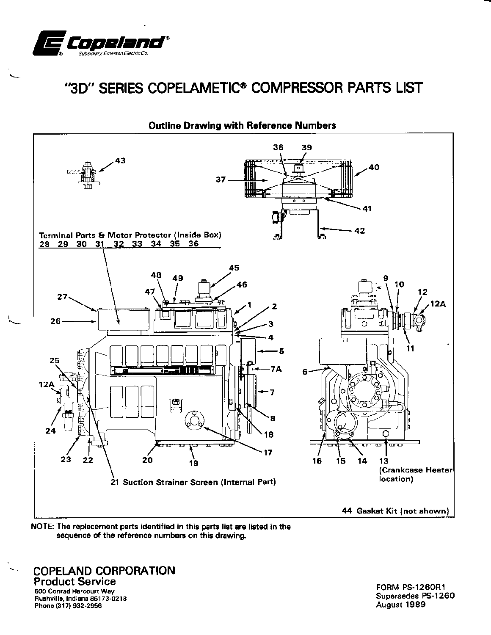

# "3D" SERIES COPELAMETIC® COMPRESSOR PARTS LIST



**Outline Drawing with Reference Numbers** 

NOTE: The replacement parts identified in this parts list are listed in the sequence of the reference numbers on this drawing.

# **COPELAND CORPORATION**<br>Product Service

500 Conrad Harcourt Way Rushville, Indiana 86173-0218 Phone (317) 932-2956

**FORM PS-1260R1** Supersedes PS-1260 August 1989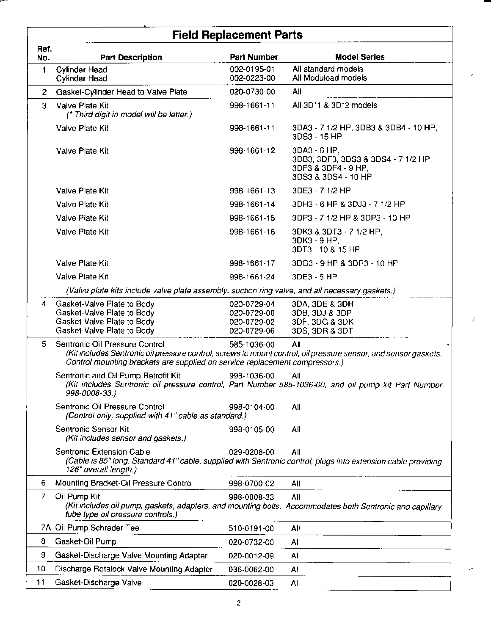|             | <b>Field Replacement Parts</b>                                                                                                                                                                                                   |                                                          |                                                                                                   |  |  |  |
|-------------|----------------------------------------------------------------------------------------------------------------------------------------------------------------------------------------------------------------------------------|----------------------------------------------------------|---------------------------------------------------------------------------------------------------|--|--|--|
| Ref.<br>No. | <b>Part Description</b>                                                                                                                                                                                                          | <b>Part Number</b>                                       | <b>Model Series</b>                                                                               |  |  |  |
| 1           | <b>Cylinder Head</b><br><b>Cylinder Head</b>                                                                                                                                                                                     | 002-0195-01<br>002-0223-00                               | All standard models<br>All Moduload models                                                        |  |  |  |
| 2           | Gasket-Cylinder Head to Valve Plate                                                                                                                                                                                              | 020-0730-00                                              | All                                                                                               |  |  |  |
| 3           | Valve Plate Kit<br>(* Third digit in model will be letter.)                                                                                                                                                                      | 998-1661-11                                              | All 3D*1 & 3D*2 models                                                                            |  |  |  |
|             | Valve Plate Kit                                                                                                                                                                                                                  | 998-1661-11                                              | 3DA3 - 7 1/2 HP, 3DB3 & 3DB4 - 10 HP,<br>3DS3 - 15 HP                                             |  |  |  |
|             | Valve Plate Kit                                                                                                                                                                                                                  | 998-1661-12                                              | 3DA3 - 6 HP.<br>3DB3, 3DF3, 3DS3 & 3DS4 - 7 1/2 HP,<br>3DF3 & 3DF4 - 9 HP,<br>3DS3 & 3DS4 - 10 HP |  |  |  |
|             | Valve Plate Kit                                                                                                                                                                                                                  | 998-1661-13                                              | 3DE3 - 7 1/2 HP                                                                                   |  |  |  |
|             | Valve Plate Kit                                                                                                                                                                                                                  | 998-1661-14                                              | 3DH3 - 6 HP & 3DJ3 - 7 1/2 HP                                                                     |  |  |  |
|             | Valve Plate Kit                                                                                                                                                                                                                  | 998-1661-15                                              | 3DP3 - 7 1/2 HP & 3DP3 - 10 HP                                                                    |  |  |  |
|             | Valve Plate Kit                                                                                                                                                                                                                  | 998-1661-16                                              | 3DK3 & 3DT3 - 7 1/2 HP,<br>3DK3 - 9 HP,<br>3DT3 - 10 & 15 HP                                      |  |  |  |
|             | Valve Plate Kit                                                                                                                                                                                                                  | 998-1661-17                                              | 3DG3 - 9 HP & 3DR3 - 10 HP                                                                        |  |  |  |
|             | Valve Plate Kit                                                                                                                                                                                                                  | 998-1661-24                                              | 3DE3 - 5 HP                                                                                       |  |  |  |
|             | (Valve plate kits include valve plate assembly, suction ring valve, and all necessary gaskets.)                                                                                                                                  |                                                          |                                                                                                   |  |  |  |
| 4           | Gasket-Valve Plate to Body<br>Gasket-Valve Plate to Body<br>Gasket-Valve Plate to Body<br>Gasket-Valve Plate to Body                                                                                                             | 020-0729-04<br>020-0729-00<br>020-0729-02<br>020-0729-06 | 3DA, 3DE & 3DH<br>3DB, 3DJ & 3DP<br>3DF, 3DG & 3DK<br>3DS, 3DR & 3DT                              |  |  |  |
| 5.          | Sentronic Oil Pressure Control<br>(Kit includes Sentronic oil pressure control, screws to mount control, oil pressure sensor, and sensor gaskets.<br>Control mounting brackets are supplied on service replacement compressors.) | 585-1036-00                                              | All                                                                                               |  |  |  |
|             | Sentronic and Oil Pump Retrofit Kit<br>(Kit includes Sentronic oil pressure control, Part Number 585-1036-00, and oil pump kit Part Number<br>998-0008-33.)                                                                      | 998-1036-00                                              | All                                                                                               |  |  |  |
|             | Sentronic Oil Pressure Control<br>(Control only, supplied with 41" cable as standard.)                                                                                                                                           | 998-0104-00                                              | All                                                                                               |  |  |  |
|             | Sentronic Sensor Kit<br>(Kit includes sensor and gaskets.)                                                                                                                                                                       | 998-0105-00                                              | All                                                                                               |  |  |  |
|             | Sentronic Extension Cable<br>(Cable is 85" long. Standard 41" cable, supplied with Sentronic control, plugs into extension cable providing<br>126" overall length.)                                                              | 029-0208-00                                              | All                                                                                               |  |  |  |
| 6           | Mounting Bracket-Oil Pressure Control                                                                                                                                                                                            | 998-0700-02                                              | All                                                                                               |  |  |  |
| 7           | Oil Pump Kit<br>(Kit includes oil pump, gaskets, adapters, and mounting bolts. Accommodates both Sentronic and capillary<br>tube type oil pressure controls.)                                                                    | 998-0008-33                                              | All                                                                                               |  |  |  |
|             | 7A Oil Pump Schrader Tee                                                                                                                                                                                                         | 510-0191-00                                              | Ali                                                                                               |  |  |  |
| 8           | Gasket-Oil Pump                                                                                                                                                                                                                  | 020-0732-00                                              | All                                                                                               |  |  |  |
| 9           | Gasket-Discharge Valve Mounting Adapter                                                                                                                                                                                          | 020-0012-09                                              | All                                                                                               |  |  |  |
| 10          | Discharge Rotalock Valve Mounting Adapter                                                                                                                                                                                        | 036-0062-00                                              | All                                                                                               |  |  |  |
| 11          | Gasket-Discharge Valve                                                                                                                                                                                                           | 020-0028-03                                              | All                                                                                               |  |  |  |

 $\overline{\mathbf{c}}$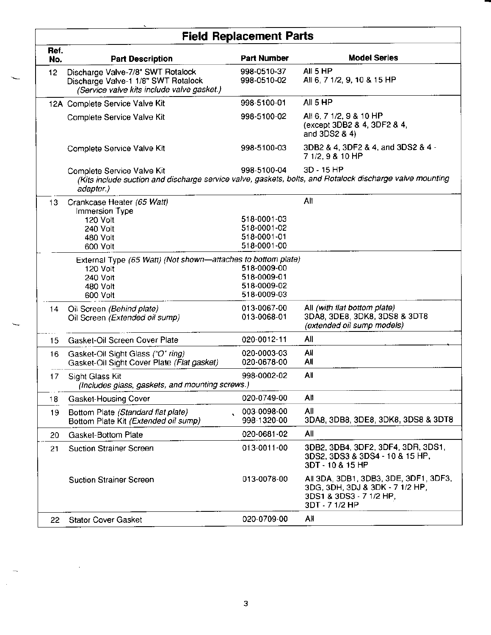# **Field Replacement Parts**

| Ref.<br>No. | <b>Part Description</b>                                                                                                                                                          | <b>Part Number</b>                                       | <b>Model Series</b>                                                                                                   |  |  |
|-------------|----------------------------------------------------------------------------------------------------------------------------------------------------------------------------------|----------------------------------------------------------|-----------------------------------------------------------------------------------------------------------------------|--|--|
| 12          | Discharge Valve-7/8" SWT Rotalock<br>Discharge Valve-1 1/8" SWT Rotalock<br>(Service valve kits include valve gasket.)                                                           | 998-0510-37<br>998-0510-02                               | All 5 HP<br>All 6, 7 1/2, 9, 10 & 15 HP                                                                               |  |  |
|             | 12A Complete Service Valve Kit                                                                                                                                                   | 998-5100-01                                              | All 5 HP                                                                                                              |  |  |
|             | Complete Service Valve Kit                                                                                                                                                       | 998-5100-02                                              | All 6, 7 1/2, 9 & 10 HP<br>(except 3DB2 & 4, 3DF2 & 4,<br>and 3DS2 & 4)                                               |  |  |
|             | Complete Service Valve Kit                                                                                                                                                       | 998-5100-03                                              | 3DB2 & 4, 3DF2 & 4, and 3DS2 & 4 -<br>7 1/2, 9 & 10 HP                                                                |  |  |
|             | 3D - 15 HP<br>998-5100-04<br>Complete Service Valve Kit<br>(Kits include suction and discharge service valve, gaskets, bolts, and Rotalock discharge valve mounting<br>adapter.) |                                                          |                                                                                                                       |  |  |
| 13          | Crankcase Heater (65 Watt)<br>Immersion Type<br>120 Volt<br>240 Volt<br>480 Volt<br>600 Volt                                                                                     | 518-0001-03<br>518-0001-02<br>518-0001-01<br>518-0001-00 | All                                                                                                                   |  |  |
|             | External Type (65 Watt) (Not shown-attaches to bottom plate)<br>120 Volt<br>240 Volt<br>480 Volt<br>600 Volt                                                                     | 518-0009-00<br>518-0009-01<br>518-0009-02<br>518-0009-03 |                                                                                                                       |  |  |
| 14          | Oil Screen (Behind plate)<br>Oil Screen (Extended oil sump)                                                                                                                      | 013-0067-00<br>013-0068-01                               | All (with flat bottom plate)<br>3DA8, 3DE8, 3DK8, 3DS8 & 3DT8<br>(extended oil sump models)                           |  |  |
| 15          | Gasket-Oil Screen Cover Plate                                                                                                                                                    | 020-0012-11                                              | All                                                                                                                   |  |  |
| 16          | Gasket-Oil Sight Glass ("O" ring)<br>Gasket-Oil Sight Cover Plate (Flat gasket)                                                                                                  | 020-0003-03<br>020-0678-00                               | All<br>All                                                                                                            |  |  |
| 17          | Sight Glass Kit<br>(Includes glass, gaskets, and mounting screws.)                                                                                                               | 998-0002-02                                              | All                                                                                                                   |  |  |
| 18          | <b>Gasket-Housing Cover</b>                                                                                                                                                      | 020-0749-00                                              | All                                                                                                                   |  |  |
| 19          | Bottom Plate (Standard flat plate)<br>Bottom Plate Kit (Extended oil sump)                                                                                                       | 003-0098-00<br>998-1320-00                               | All<br>3DA8, 3DB8, 3DE8, 3DK8, 3DS8 & 3DT8                                                                            |  |  |
| 20          | Gasket-Bottom Plate                                                                                                                                                              | 020-0681-02                                              | All                                                                                                                   |  |  |
| 21          | <b>Suction Strainer Screen</b>                                                                                                                                                   | 013-0011-00                                              | 3DB2, 3DB4, 3DF2, 3DF4, 3DR, 3DS1,<br>3DS2, 3DS3 & 3DS4 - 10 & 15 HP,<br>3DT - 10 & 15 HP                             |  |  |
|             | <b>Suction Strainer Screen</b>                                                                                                                                                   | 013-0078-00                                              | All 3DA, 3DB1, 3DB3, 3DE, 3DF1, 3DF3,<br>3DG, 3DH, 3DJ & 3DK - 7 1/2 HP,<br>3DS1 & 3DS3 - 7 1/2 HP,<br>3DT - 7 1/2 HP |  |  |
| 22          | <b>Stator Cover Gasket</b>                                                                                                                                                       | 020-0709-00                                              | All                                                                                                                   |  |  |

 $\mathsf 3$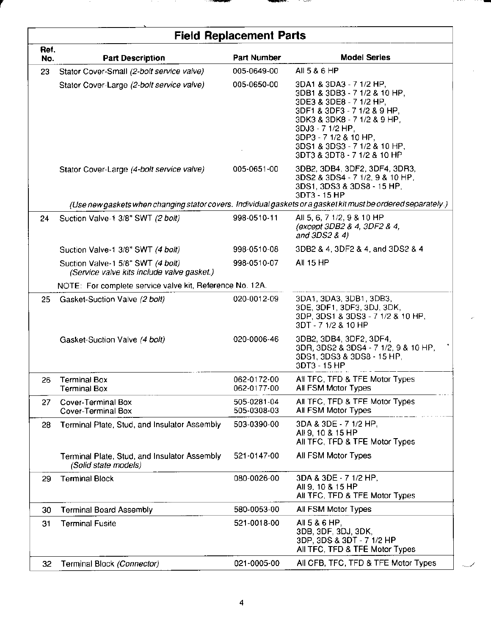|             | <b>Field Replacement Parts</b>                                                  |                            |                                                                                                                                                                                                                                                              |  |  |  |
|-------------|---------------------------------------------------------------------------------|----------------------------|--------------------------------------------------------------------------------------------------------------------------------------------------------------------------------------------------------------------------------------------------------------|--|--|--|
| Ref.<br>No. | <b>Part Description</b>                                                         | <b>Part Number</b>         | <b>Model Series</b>                                                                                                                                                                                                                                          |  |  |  |
| 23          | Stator Cover-Small (2-bolt service valve)                                       | 005-0649-00                | All 5 & 6 HP                                                                                                                                                                                                                                                 |  |  |  |
|             | Stator Cover-Large (2-bolt service valve)                                       | 005-0650-00                | 3DA1 & 3DA3 - 7 1/2 HP,<br>3DB1 & 3DB3 - 7 1/2 & 10 HP,<br>3DE3 & 3DE8 - 7 1/2 HP,<br>3DF1 & 3DF3 - 7 1/2 & 9 HP,<br>3DK3 & 3DK8 - 7 1/2 & 9 HP,<br>3DJ3 - 7 1/2 HP,<br>3DP3 - 7 1/2 & 10 HP,<br>3DS1 & 3DS3 - 7 1/2 & 10 HP,<br>3DT3 & 3DT8 - 7 1/2 & 10 HP |  |  |  |
|             | Stator Cover-Large (4-bolt service valve)                                       | 005-0651-00                | 3DB2, 3DB4, 3DF2, 3DF4, 3DR3,<br>3DS2 & 3DS4 - 7 1/2, 9 & 10 HP,<br>3DS1, 3DS3 & 3DS8 - 15 HP,<br>3DT3 - 15 HP                                                                                                                                               |  |  |  |
|             |                                                                                 |                            | (Use new gaskets when changing stator covers. Individual gaskets or a gasket kit must be ordered separately.)                                                                                                                                                |  |  |  |
| 24          | Suction Valve-1 3/8" SWT (2 bolt)                                               | 998-0510-11                | All 5, 6, 7 1/2, 9 & 10 HP<br>(except 3DB2 & 4, 3DF2 & 4,<br>and $3DS2 & 4$                                                                                                                                                                                  |  |  |  |
|             | Suction Valve-1 3/8" SWT (4 bolt)                                               | 998-0510-08                | 3DB2 & 4, 3DF2 & 4, and 3DS2 & 4                                                                                                                                                                                                                             |  |  |  |
|             | Suction Valve-1 5/8" SWT (4 bolt)<br>(Service valve kits include valve gasket.) | 998-0510-07                | All 15 HP                                                                                                                                                                                                                                                    |  |  |  |
|             | NOTE: For complete service valve kit, Reference No. 12A.                        |                            |                                                                                                                                                                                                                                                              |  |  |  |
| 25          | Gasket-Suction Valve (2 bolt)                                                   | 020-0012-09                | 3DA1, 3DA3, 3DB1, 3DB3,<br>3DE, 3DF1, 3DF3, 3DJ, 3DK,<br>3DP, 3DS1 & 3DS3 - 7 1/2 & 10 HP,<br>3DT - 7 1/2 & 10 HP                                                                                                                                            |  |  |  |
|             | Gasket-Suction Valve (4 bolt)                                                   | 020-0006-46                | 3DB2, 3DB4, 3DF2, 3DF4,<br>3DR, 3DS2 & 3DS4 - 7 1/2, 9 & 10 HP,<br>3DS1, 3DS3 & 3DS8 - 15 HP,<br>3DT3 - 15 HP                                                                                                                                                |  |  |  |
| 26          | <b>Terminal Box</b><br><b>Terminal Box</b>                                      | 062-0172-00<br>062-0177-00 | All TFC, TFD & TFE Motor Types<br>All FSM Motor Types                                                                                                                                                                                                        |  |  |  |
| 27          | Cover-Terminal Box<br>Cover-Terminal Box                                        | 505-0281-04<br>505-0308-03 | All TFC, TFD & TFE Motor Types<br>All FSM Motor Types                                                                                                                                                                                                        |  |  |  |
| 28          | Terminal Plate, Stud, and Insulator Assembly                                    | 503-0390-00                | 3DA & 3DE - 7 1/2 HP,<br>All 9, 10 & 15 HP<br>All TFC, TFD & TFE Motor Types                                                                                                                                                                                 |  |  |  |
|             | Terminal Plate, Stud, and Insulator Assembly<br>(Solid state models)            | 521-0147-00                | All FSM Motor Types                                                                                                                                                                                                                                          |  |  |  |
| 29          | <b>Terminal Block</b>                                                           | 080-0026-00                | 3DA & 3DE - 7 1/2 HP,<br>All 9, 10 & 15 HP<br>All TFC, TFD & TFE Motor Types                                                                                                                                                                                 |  |  |  |
| 30          | <b>Terminal Board Assembly</b>                                                  | 580-0053-00                | All FSM Motor Types                                                                                                                                                                                                                                          |  |  |  |
| 31          | <b>Terminal Fusite</b>                                                          | 521-0018-00                | All 5 & 6 HP,<br>3DB, 3DF, 3DJ, 3DK,<br>3DP, 3DS & 3DT - 7 1/2 HP<br>All TFC, TFD & TFE Motor Types                                                                                                                                                          |  |  |  |
| 32          | Terminal Block (Connector)                                                      | 021-0005-00                | All CFB, TFC, TFD & TFE Motor Types                                                                                                                                                                                                                          |  |  |  |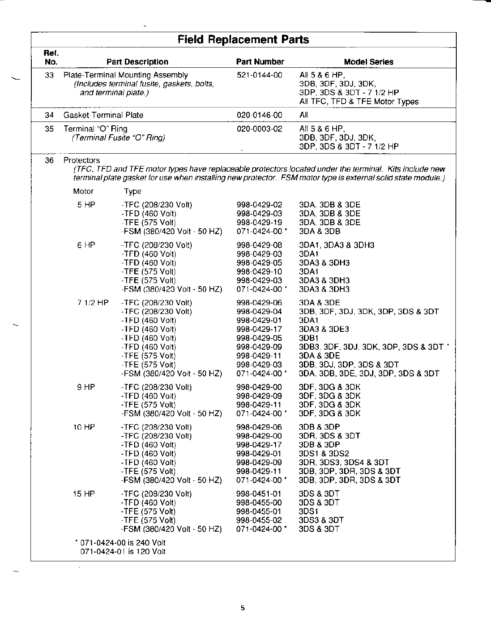|             | <b>Field Replacement Parts</b>                                                                         |                                                                                                                                                                                                             |                                                                                                                                       |                                                                                                                                                                                                                        |  |
|-------------|--------------------------------------------------------------------------------------------------------|-------------------------------------------------------------------------------------------------------------------------------------------------------------------------------------------------------------|---------------------------------------------------------------------------------------------------------------------------------------|------------------------------------------------------------------------------------------------------------------------------------------------------------------------------------------------------------------------|--|
| Ref.<br>No. | <b>Part Description</b>                                                                                |                                                                                                                                                                                                             | <b>Part Number</b>                                                                                                                    | <b>Model Series</b>                                                                                                                                                                                                    |  |
| 33          | Plate-Terminal Mounting Assembly<br>(Includes terminal fusite, gaskets, bolts,<br>and terminal plate.) |                                                                                                                                                                                                             | 521-0144-00                                                                                                                           | All 5 & 6 HP,<br>3DB, 3DF, 3DJ, 3DK,<br>3DP, 3DS & 3DT - 7 1/2 HP<br>All TFC, TFD & TFE Motor Types                                                                                                                    |  |
| 34          | Gasket-Terminal Plate                                                                                  |                                                                                                                                                                                                             | 020-0146-00                                                                                                                           | All                                                                                                                                                                                                                    |  |
| 35          | Terminal "O" Ring<br>(Terminal Fusite "O" Ring)                                                        |                                                                                                                                                                                                             | 020-0003-02                                                                                                                           | All 5 & 6 HP,<br>3DB, 3DF, 3DJ, 3DK,<br>3DP, 3DS & 3DT - 7 1/2 HP                                                                                                                                                      |  |
| 36          | Protectors                                                                                             |                                                                                                                                                                                                             |                                                                                                                                       | (TFC, TFD and TFE motor types have replaceable protectors located under the terminal. Kits include new<br>terminal plate gasket for use when installing new protector. FSM motor type is external solid state module.) |  |
|             | Motor                                                                                                  | Type                                                                                                                                                                                                        |                                                                                                                                       |                                                                                                                                                                                                                        |  |
|             | 5 HP                                                                                                   | -TFC (208/230 Volt)<br>$-$ TFD (460 Volt)<br>-TFE (575 Volt)<br>-FSM (380/420 Volt - 50 HZ)                                                                                                                 | 998-0429-02<br>998-0429-03<br>998-0429-19<br>071-0424-00 *                                                                            | 3DA, 3DB & 3DE<br>3DA, 3DB & 3DE<br>3DA, 3DB & 3DE<br>3DA & 3DB                                                                                                                                                        |  |
|             | 6 HP                                                                                                   | -TFC (208/230 Volt)<br>-TFD $(460$ Volt)<br>-TFD $(460$ Volt)<br>-TFE $(575$ Volt)<br>-TFE $(575$ Volt)<br>-FSM (380/420 Volt - 50 HZ)                                                                      | 998-0429-08<br>998-0429-03<br>998-0429-05<br>998-0429-10<br>998-0429-03<br>071-0424-00 *                                              | 3DA1, 3DA3 & 3DH3<br>3DA1<br>3DA3 & 3DH3<br>3DA1<br>3DA3 & 3DH3<br>3DA3 & 3DH3                                                                                                                                         |  |
|             | 7 1/2 HP                                                                                               | -TFC (208/230 Volt)<br>-TFC (208/230 Volt)<br>$-$ TFD (460 Volt)<br>$-$ TFD (460 Volt)<br>-TFD $(460$ Volt)<br>$-$ TFD (460 Volt)<br>-TFE $(575$ Volt)<br>$-$ TFE (575 Volt)<br>-FSM (380/420 Volt - 50 HZ) | 998-0429-06<br>998-0429-04<br>998-0429-01<br>998-0429-17<br>998-0429-05<br>998-0429-09<br>998-0429-11<br>998-0429-03<br>071-0424-00 * | 3DA & 3DE<br>3DB, 3DF, 3DJ, 3DK, 3DP, 3DS & 3DT<br>3DA1<br>3DA3 & 3DE3<br>3DB1<br>3DB3, 3DF, 3DJ, 3DK, 3DP, 3DS & 3DT *<br>3DA & 3DE<br>3DB, 3DJ, 3DP, 3DS & 3DT<br>3DA, 3DB, 3DE, 3DJ, 3DP, 3DS & 3DT                 |  |
|             | 9 HP                                                                                                   | -TFC (208/230 Volt)<br>-TFD (460 Volt)<br>-TFE (575 Volt)<br>-FSM (380/420 Volt - 50 HZ)                                                                                                                    | 998-0429-00<br>998-0429-09<br>998-0429-11<br>071-0424-00 *                                                                            | 3DF, 3DG & 3DK<br>3DF, 3DG & 3DK<br>3DF, 3DG & 3DK<br>3DF, 3DG & 3DK                                                                                                                                                   |  |
|             | 10 HP                                                                                                  | -TFC (208/230 Volt)<br>-TFC (208/230 Volt)<br>$-TFD(460 Volt)$<br>-TFD (460 Volt)<br>$-TFD(460 Volt)$<br>-TFE (575 Volt)<br>-FSM (380/420 Volt - 50 HZ)                                                     | 998-0429-06<br>998-0429-00<br>998-0429-17<br>998-0429-01<br>998-0429-09<br>998-0429-11<br>071-0424-00 *                               | 3DB & 3DP<br>3DR, 3DS & 3DT<br>3DB & 3DP<br>3DS1 & 3DS2<br>3DR, 3DS3, 3DS4 & 3DT<br>3DB, 3DP, 3DR, 3DS & 3DT<br>3DB, 3DP, 3DR, 3DS & 3DT                                                                               |  |
|             | 15 HP                                                                                                  | -TFC (208/230 Volt)<br>$-$ TFD (460 Volt)<br>-TFE (575 Volt)<br>$-$ TFE (575 Volt)<br>-FSM (380/420 Volt - 50 HZ)                                                                                           | 998-0451-01<br>998-0455-00<br>998-0455-01<br>998-0455-02<br>071-0424-00 *                                                             | 3DS & 3DT<br>3DS & 3DT<br>3DS1<br>3DS3 & 3DT<br>3DS & 3DT                                                                                                                                                              |  |
|             |                                                                                                        | * 071-0424-00 is 240 Volt<br>071-0424-01 is 120 Volt                                                                                                                                                        |                                                                                                                                       |                                                                                                                                                                                                                        |  |

 $\overline{\mathbf{5}}$ 

 $\hat{\boldsymbol{\beta}}$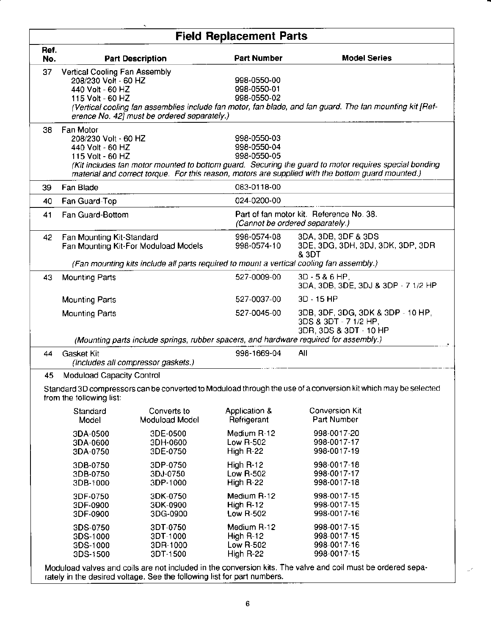| $\mathbf{r}_\mathrm{m}$<br><b>Field Replacement Parts</b>                                                                                  |                                                                                                                                                                                                                                                                                                                                      |                                                                                          |                                                    |                                                                                                                                                                               |  |
|--------------------------------------------------------------------------------------------------------------------------------------------|--------------------------------------------------------------------------------------------------------------------------------------------------------------------------------------------------------------------------------------------------------------------------------------------------------------------------------------|------------------------------------------------------------------------------------------|----------------------------------------------------|-------------------------------------------------------------------------------------------------------------------------------------------------------------------------------|--|
| Ref.<br>No.                                                                                                                                |                                                                                                                                                                                                                                                                                                                                      | <b>Part Description</b>                                                                  | <b>Part Number</b>                                 | <b>Model Series</b>                                                                                                                                                           |  |
| 37                                                                                                                                         | Vertical Cooling Fan Assembly<br>998-0550-00<br>208/230 Volt - 60 HZ<br>998-0550-01<br>440 Volt - 60 HZ<br>998-0550-02<br>115 Volt - 60 HZ<br>(Vertical cooling fan assemblies include fan motor, fan blade, and fan guard. The fan mounting kit [Ref-<br>erence No. 42] must be ordered separately.)                                |                                                                                          |                                                    |                                                                                                                                                                               |  |
| 38                                                                                                                                         | Fan Motor<br>998-0550-03<br>208/230 Volt - 60 HZ<br>998-0550-04<br>440 Volt - 60 HZ<br>998-0550-05<br>115 Volt - 60 HZ<br>(Kit includes fan motor mounted to bottom guard. Securing the guard to motor requires special bonding<br>material and correct torque. For this reason, motors are supplied with the bottom guard mounted.) |                                                                                          |                                                    |                                                                                                                                                                               |  |
| 39                                                                                                                                         | Fan Blade                                                                                                                                                                                                                                                                                                                            |                                                                                          | 083-0118-00                                        |                                                                                                                                                                               |  |
| 40                                                                                                                                         | Fan Guard-Top                                                                                                                                                                                                                                                                                                                        |                                                                                          | 024-0200-00                                        |                                                                                                                                                                               |  |
| 41                                                                                                                                         | Fan Guard-Bottom                                                                                                                                                                                                                                                                                                                     |                                                                                          |                                                    | Part of fan motor kit. Reference No. 38.<br>(Cannot be ordered separately.)                                                                                                   |  |
| 42                                                                                                                                         | Fan Mounting Kit-Standard                                                                                                                                                                                                                                                                                                            | Fan Mounting Kit-For Moduload Models                                                     | 998-0574-08<br>998-0574-10                         | 3DA, 3DB, 3DF & 3DS<br>3DE, 3DG, 3DH, 3DJ, 3DK, 3DP, 3DR<br><b>&amp; 3DT</b>                                                                                                  |  |
|                                                                                                                                            |                                                                                                                                                                                                                                                                                                                                      | (Fan mounting kits include all parts required to mount a vertical cooling fan assembly.) |                                                    |                                                                                                                                                                               |  |
| 43                                                                                                                                         | <b>Mounting Parts</b>                                                                                                                                                                                                                                                                                                                |                                                                                          | 527-0009-00                                        | $3D - 5 & 8 & 6$ HP,<br>3DA, 3DB, 3DE, 3DJ & 3DP - 7 1/2 HP                                                                                                                   |  |
|                                                                                                                                            | <b>Mounting Parts</b>                                                                                                                                                                                                                                                                                                                |                                                                                          | 527-0037-00                                        | $3D - 15 HP$                                                                                                                                                                  |  |
|                                                                                                                                            | <b>Mounting Parts</b>                                                                                                                                                                                                                                                                                                                |                                                                                          | 527-0045-00                                        | 3DB, 3DF, 3DG, 3DK & 3DP - 10 HP,<br>3DS & 3DT - 7 1/2 HP,<br>3DR, 3DS & 3DT - 10 HP<br>(Mounting parts include springs, rubber spacers, and hardware required for assembly.) |  |
| 44                                                                                                                                         | Gasket Kit                                                                                                                                                                                                                                                                                                                           | (Includes all compressor gaskets.)                                                       | 998-1669-04                                        | All                                                                                                                                                                           |  |
| 45                                                                                                                                         | Moduload Capacity Control                                                                                                                                                                                                                                                                                                            |                                                                                          |                                                    |                                                                                                                                                                               |  |
| Standard 3D compressors can be converted to Moduload through the use of a conversion kit which may be selected<br>from the following list: |                                                                                                                                                                                                                                                                                                                                      |                                                                                          |                                                    |                                                                                                                                                                               |  |
|                                                                                                                                            | Standard<br>Model                                                                                                                                                                                                                                                                                                                    | Converts to<br>Moduload Model                                                            | Application &<br>Refrigerant                       | <b>Conversion Kit</b><br>Part Number                                                                                                                                          |  |
|                                                                                                                                            | 3DA-0500<br>3DA-0600<br>3DA-0750                                                                                                                                                                                                                                                                                                     | 3DE-0500<br>3DH-0600<br>3DE-0750                                                         | Medium R-12<br>Low $R-502$<br>High R-22            | 998-0017-20<br>998-0017-17<br>998-0017-19                                                                                                                                     |  |
|                                                                                                                                            | 3DB-0750<br>3DB-0750<br>3DB-1000                                                                                                                                                                                                                                                                                                     | 3DP-0750<br>3DJ-0750<br>3DP-1000                                                         | High $R-12$<br>Low R-502<br>High R-22              | 998-0017-18<br>998-0017-17<br>998-0017-18                                                                                                                                     |  |
|                                                                                                                                            | 3DF-0750<br>3DF-0900<br>3DF-0900                                                                                                                                                                                                                                                                                                     | 3DK-0750<br>3DK-0900<br>3DG-0900                                                         | Medium R-12<br>High $R-12$<br>Low R-502            | 998-0017-15<br>998-0017-15<br>998-0017-16                                                                                                                                     |  |
|                                                                                                                                            | 3DS-0750<br>3DS-1000<br>3DS-1000<br>3DS-1500                                                                                                                                                                                                                                                                                         | 3DT-0750<br>3DT-1000<br>3DR-1000<br>3DT-1500                                             | Medium R-12<br>High R-12<br>Low R-502<br>High R-22 | 998-0017-15<br>998-0017-15<br>998-0017-16<br>998-0017-15<br>Moduload valves and coils are not included in the conversion kits. The valve and coil must be ordered sepa-       |  |

rately in the desired voltage. See the following list for part numbers.

 $\omega^{\rho}$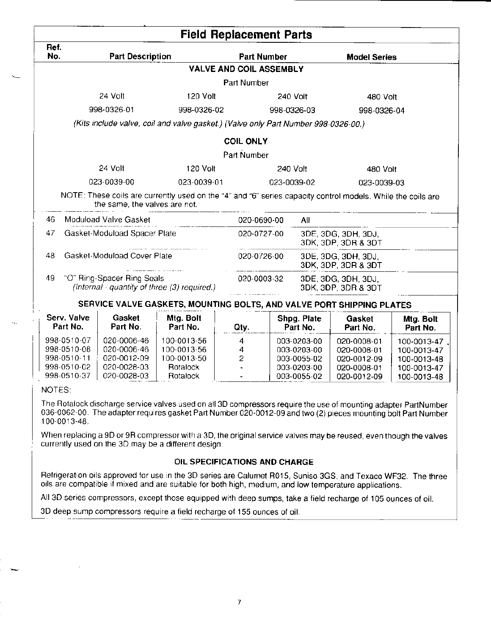|                         |                                                                                        |                       | <b>Field Replacement Parts</b> |                         |                                            |                       |  |
|-------------------------|----------------------------------------------------------------------------------------|-----------------------|--------------------------------|-------------------------|--------------------------------------------|-----------------------|--|
| Ref.<br>No.             | <b>Part Description</b>                                                                |                       | <b>Part Number</b>             |                         | <b>Model Series</b>                        |                       |  |
|                         |                                                                                        |                       | <b>VALVE AND COIL ASSEMBLY</b> |                         |                                            |                       |  |
|                         |                                                                                        |                       | Part Number                    |                         |                                            |                       |  |
|                         | 24 Volt                                                                                | 120 Volt              |                                | 240 Volt                | 480 Volt                                   |                       |  |
|                         | 998-0326-01                                                                            | 998-0326-02           |                                | 998-0326-03             | 998-0326-04                                |                       |  |
|                         | (Kits include valve, coil and valve gasket.) (Valve only Part Number 998-0326-00.)     |                       |                                |                         |                                            |                       |  |
|                         |                                                                                        |                       | <b>COIL ONLY</b>               |                         |                                            |                       |  |
|                         |                                                                                        |                       | Part Number                    |                         |                                            |                       |  |
|                         | 24 Volt                                                                                | 120 Volt              |                                | 240 Volt                | 480 Volt                                   |                       |  |
|                         | 023-0039-00                                                                            | 023-0039-01           |                                | 023-0039-02             |                                            | 023-0039-03           |  |
| 46.<br>47               | the same, the valves are not.<br>Moduload Valve Gasket<br>Gasket-Moduload Spacer Plate |                       | 020-0690-00<br>020-0727-00     | All                     | 3DE, 3DG, 3DH, 3DJ,<br>3DK, 3DP, 3DR & 3DT |                       |  |
| 48                      | Gasket-Moduload Cover Plate                                                            |                       | 020-0726-00                    |                         | 3DE, 3DG, 3DH, 3DJ,<br>3DK, 3DP, 3DR & 3DT |                       |  |
|                         | "O" Ring-Spacer Ring Seals                                                             |                       | 020-0003-32                    |                         |                                            |                       |  |
| 49                      | (Internal - quantity of three (3) required.)                                           |                       |                                |                         | 3DE, 3DG, 3DH, 3DJ,<br>3DK, 3DP, 3DR & 3DT |                       |  |
|                         | SERVICE VALVE GASKETS, MOUNTING BOLTS, AND VALVE PORT SHIPPING PLATES                  |                       |                                |                         |                                            |                       |  |
| Serv. Valve<br>Part No. | Gasket<br>Part No.                                                                     | Mtg. Bolt<br>Part No. | Qty.                           | Shpg. Plate<br>Part No. | Gasket<br>Part No.                         | Mtg. Bolt<br>Part No. |  |

The Rotalock discharge service valves used on all 3D compressors require the use of mounting adapter PartNumber 036-0062-00. The adapter requires gasket Part Number 020-0012-09 and two (2) pieces mounting bolt Part Number 100-0013-48.

When replacing a 9D or 9R compressor with a 3D, the original service valves may be reused, even though the valves currently used on the 3D may be a different design.

### OIL SPECIFICATIONS AND CHARGE

Refrigeration oils approved for use in the 3D series are Calumet R015, Suniso 3GS, and Texaco WF32. The three oils are compatible if mixed and are suitable for both high, medium, and low temperature applications.

All 3D series compressors, except those equipped with deep sumps, take a field recharge of 105 ounces of oil.

3D deep sump compressors require a field recharge of 155 ounces of oil.